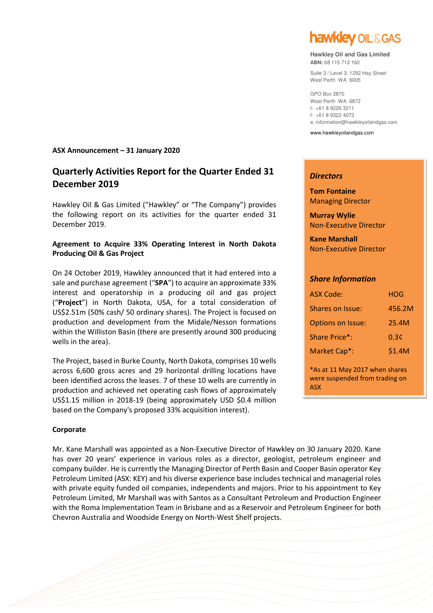

#### **Hawkley Oil and Gas Limited ABN:** 68 115 712 162

Suite 3 / Level 3, 1292 Hay Street West Perth WA 6005

GPO Box 2870 West Perth WA 6872 t: +61 8 9226 3211 f: +61 8 9322 4073 e: information@hawkleyoilandgas.com

www.hawkleyoilandgas.com

### *Directors*

**Tom Fontaine** Managing Director

**Murray Wylie**  Non-Executive Director

**Kane Marshall**  Non-Executive Director

### *Share Information*

| ASX Code:                | HOG    |
|--------------------------|--------|
| Shares on Issue:         | 456.2M |
| <b>Options on Issue:</b> | 25.4M  |
| Share Price*:            | 0.3¢   |
| Market Cap*:             | \$1.4M |
|                          |        |

\*As at 11 May 2017 when shares were suspended from trading on ASX

### **ASX Announcement – 31 January 2020**

# **Quarterly Activities Report for the Quarter Ended 31 December 2019**

Hawkley Oil & Gas Limited ("Hawkley" or "The Company") provides the following report on its activities for the quarter ended 31 December 2019.

# **Agreement to Acquire 33% Operating Interest in North Dakota Producing Oil & Gas Project**

On 24 October 2019, Hawkley announced that it had entered into a sale and purchase agreement ("**SPA**") to acquire an approximate 33% interest and operatorship in a producing oil and gas project ("**Project**") in North Dakota, USA, for a total consideration of US\$2.51m (50% cash/ 50 ordinary shares). The Project is focused on production and development from the Midale/Nesson formations within the Williston Basin (there are presently around 300 producing wells in the area).

The Project, based in Burke County, North Dakota, comprises 10 wells across 6,600 gross acres and 29 horizontal drilling locations have been identified across the leases. 7 of these 10 wells are currently in production and achieved net operating cash flows of approximately US\$1.15 million in 2018-19 (being approximately USD \$0.4 million based on the Company's proposed 33% acquisition interest).

### **Corporate**

Mr. Kane Marshall was appointed as a Non-Executive Director of Hawkley on 30 January 2020. Kane has over 20 years' experience in various roles as a director, geologist, petroleum engineer and company builder. He is currently the Managing Director of Perth Basin and Cooper Basin operator Key Petroleum Limited (ASX: KEY) and his diverse experience base includes technical and managerial roles with private equity funded oil companies, independents and majors. Prior to his appointment to Key Petroleum Limited, Mr Marshall was with Santos as a Consultant Petroleum and Production Engineer with the Roma Implementation Team in Brisbane and as a Reservoir and Petroleum Engineer for both Chevron Australia and Woodside Energy on North-West Shelf projects.